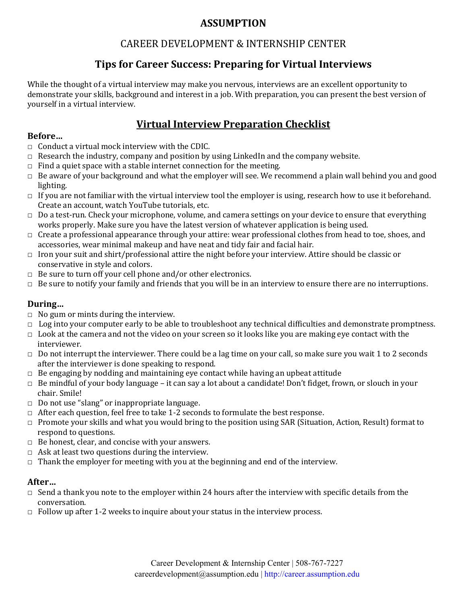# **ASSUMPTION**

# CAREER DEVELOPMENT & INTERNSHIP CENTER

# **Tips for Career Success: Preparing for Virtual Interviews**

While the thought of a virtual interview may make you nervous, interviews are an excellent opportunity to demonstrate your skills, background and interest in a job. With preparation, you can present the best version of yourself in a virtual interview.

# **Virtual Interview Preparation Checklist**

## **Before…**

- $\Box$  Conduct a virtual mock interview with the CDIC.
- $\Box$  Research the industry, company and position by using LinkedIn and the company website.
- $\Box$  Find a quiet space with a stable internet connection for the meeting.
- □ Be aware of your background and what the employer will see. We recommend a plain wall behind you and good lighting.
- $\Box$  If you are not familiar with the virtual interview tool the employer is using, research how to use it beforehand. Create an account, watch YouTube tutorials, etc.
- □ Do a test-run. Check your microphone, volume, and camera settings on your device to ensure that everything works properly. Make sure you have the latest version of whatever application is being used.
- □ Create a professional appearance through your attire: wear professional clothes from head to toe, shoes, and accessories, wear minimal makeup and have neat and tidy fair and facial hair.
- □ Iron your suit and shirt/professional attire the night before your interview. Attire should be classic or conservative in style and colors.
- $\Box$  Be sure to turn off your cell phone and/or other electronics.
- □ Be sure to notify your family and friends that you will be in an interview to ensure there are no interruptions.

## **During…**

- □ No gum or mints during the interview.
- $\Box$  Log into your computer early to be able to troubleshoot any technical difficulties and demonstrate promptness.
- $\Box$  Look at the camera and not the video on your screen so it looks like you are making eye contact with the interviewer.
- $\Box$  Do not interrupt the interviewer. There could be a lag time on your call, so make sure you wait 1 to 2 seconds after the interviewer is done speaking to respond.
- $\Box$  Be engaging by nodding and maintaining eye contact while having an upbeat attitude
- $\Box$  Be mindful of your body language it can say a lot about a candidate! Don't fidget, frown, or slouch in your chair. Smile!
- □ Do not use "slang" or inappropriate language.
- $\Box$  After each question, feel free to take 1-2 seconds to formulate the best response.
- $\Box$  Promote your skills and what you would bring to the position using SAR (Situation, Action, Result) format to respond to questions.
- $\Box$  Be honest, clear, and concise with your answers.
- $\Box$  Ask at least two questions during the interview.
- $\Box$  Thank the employer for meeting with you at the beginning and end of the interview.

## **After…**

- $\Box$  Send a thank you note to the employer within 24 hours after the interview with specific details from the conversation.
- $\Box$  Follow up after 1-2 weeks to inquire about your status in the interview process.